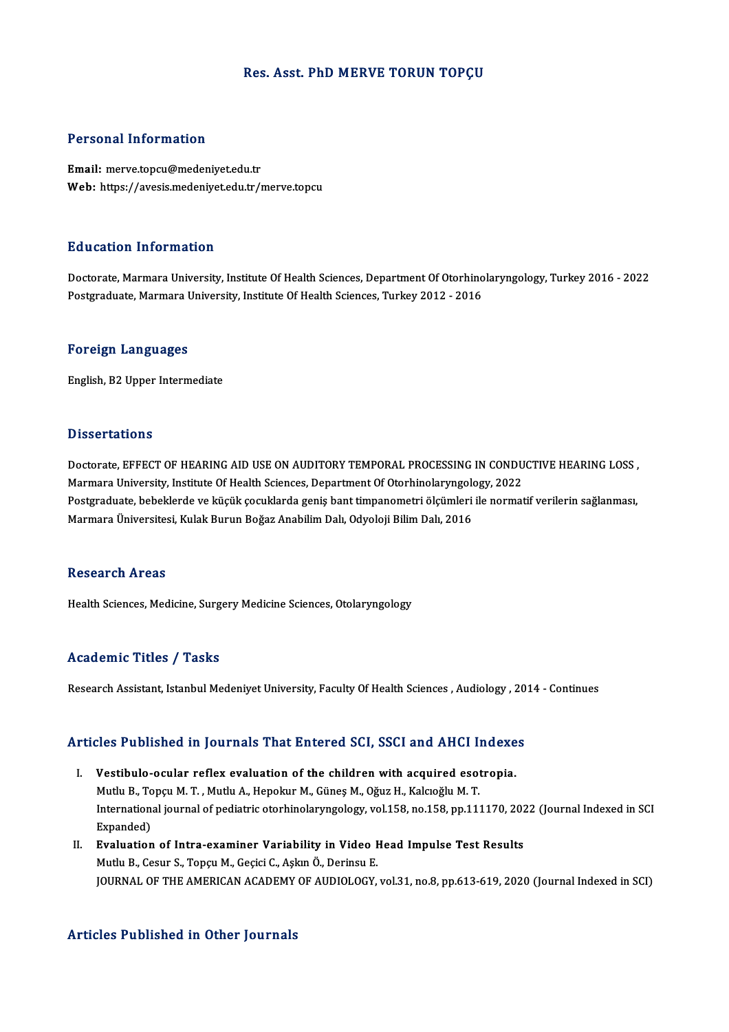### Res. Asst. PhD MERVE TORUN TOPÇU

### Personal Information

Email: merve.topcu@medeniyet.edu.tr Web: https://avesis.medeniyet.edu.tr/merve.topcu

### Education Information

Education Information<br>Doctorate, Marmara University, Institute Of Health Sciences, Department Of Otorhinolaryngology, Turkey 2016 - 2022<br>Postsraduate Marmara University, Institute Of Health Sciences, Turkey 2012 - 2016 Pu d'oderon Throt Inderon<br>Doctorate, Marmara University, Institute Of Health Sciences, Department Of Otorhino<br>Postgraduate, Marmara University, Institute Of Health Sciences, Turkey 2012 - 2016 Postgraduate, Marmara University, Institute Of Health Sciences, Turkey 2012 - 2016<br>Foreign Languages

English, B2 Upper Intermediate

### **Dissertations**

Doctorate, EFFECT OF HEARING AID USE ON AUDITORY TEMPORAL PROCESSING IN CONDUCTIVE HEARING LOSS, Masser tations<br>Doctorate, EFFECT OF HEARING AID USE ON AUDITORY TEMPORAL PROCESSING IN CONDU<br>Marmara University, Institute Of Health Sciences, Department Of Otorhinolaryngology, 2022<br>Postsraduate, behelderde ve küsült socu Postgraduate, bebeklerde ve küçük çocuklarda geniş bant timpanometri ölçümleri ile normatif verilerin sağlanması,<br>Marmara Üniversitesi, Kulak Burun Boğaz Anabilim Dalı, Odyoloji Bilim Dalı, 2016 Marmara University, Institute Of Health Sciences, Department Of Otorhinolaryngolo<br>Postgraduate, bebeklerde ve küçük çocuklarda geniş bant timpanometri ölçümleri<br>Marmara Üniversitesi, Kulak Burun Boğaz Anabilim Dalı, Odyolo

### **Research Areas**

Health Sciences, Medicine, Surgery Medicine Sciences, Otolaryngology

### Academic Titles / Tasks

Research Assistant, Istanbul Medeniyet University, Faculty Of Health Sciences , Audiology , 2014 - Continues

# Research Assistant, istanbul medeniyet University, Pacuity Of Health Sciences , Audiology , 20<br>Articles Published in Journals That Entered SCI, SSCI and AHCI Indexes

- rticles Published in Journals That Entered SCI, SSCI and AHCI Indexe<br>I. Vestibulo-ocular reflex evaluation of the children with acquired esotropia.<br>Muth B. Tengu M.T. Muth A. Hangkur M. Cünes M. Oğuz H. Kalgoğlu M.T. I. Vestibulo-ocular reflex evaluation of the children with acquired esotropia.<br>Mutlu B., Topçu M. T., Mutlu A., Hepokur M., Güneş M., Oğuz H., Kalcıoğlu M. T. Vestibulo-ocular reflex evaluation of the children with acquired esotropia.<br>Mutlu B., Topçu M. T. , Mutlu A., Hepokur M., Güneş M., Oğuz H., Kalcıoğlu M. T.<br>International journal of pediatric otorhinolaryngology, vol.158, Mutlu B., To<br>Internation:<br>Expanded)<br>Evaluation International journal of pediatric otorhinolaryngology, vol.158, no.158, pp.111170, 202<br>Expanded)<br>II. Evaluation of Intra-examiner Variability in Video Head Impulse Test Results<br>Muthi B. Cesur S. Tongu M. Cesisi C. Aslam Ö
- Expanded)<br>II. Evaluation of Intra-examiner Variability in Video Head Impulse Test Results<br>Mutlu B., Cesur S., Topçu M., Geçici C., Aşkın Ö., Derinsu E. JOURNALOF THEAMERICANACADEMYOFAUDIOLOGY,vol.31,no.8,pp.613-619,2020 (Journal Indexed inSCI)

### Articles Published in Other Journals